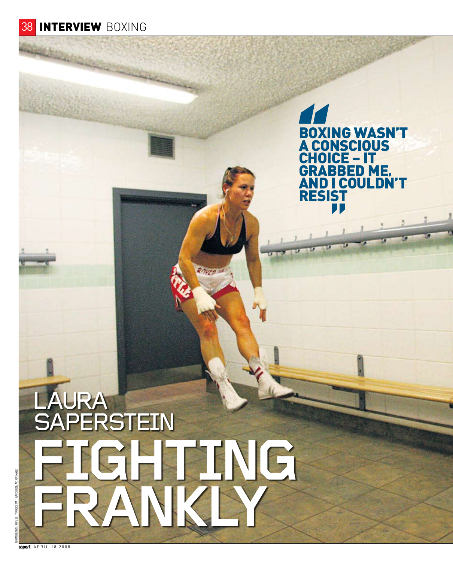# **38 INTERVIEW BOXING**